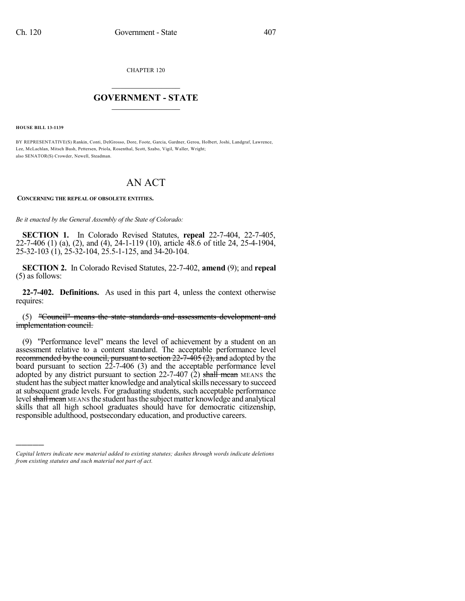CHAPTER 120

## $\overline{\phantom{a}}$  . The set of the set of the set of the set of the set of the set of the set of the set of the set of the set of the set of the set of the set of the set of the set of the set of the set of the set of the set o **GOVERNMENT - STATE**  $\_$

**HOUSE BILL 13-1139**

)))))

BY REPRESENTATIVE(S) Rankin, Conti, DelGrosso, Dore, Foote, Garcia, Gardner, Gerou, Holbert, Joshi, Landgraf, Lawrence, Lee, McLachlan, Mitsch Bush, Pettersen, Priola, Rosenthal, Scott, Szabo, Vigil, Waller, Wright; also SENATOR(S) Crowder, Newell, Steadman.

## AN ACT

**CONCERNING THE REPEAL OF OBSOLETE ENTITIES.**

*Be it enacted by the General Assembly of the State of Colorado:*

**SECTION 1.** In Colorado Revised Statutes, **repeal** 22-7-404, 22-7-405, 22-7-406 (1) (a), (2), and (4), 24-1-119 (10), article 48.6 of title 24, 25-4-1904, 25-32-103 (1), 25-32-104, 25.5-1-125, and 34-20-104.

**SECTION 2.** In Colorado Revised Statutes, 22-7-402, **amend** (9); and **repeal** (5) as follows:

**22-7-402. Definitions.** As used in this part 4, unless the context otherwise requires:

(5) "Council" means the state standards and assessments development and implementation council.

(9) "Performance level" means the level of achievement by a student on an assessment relative to a content standard. The acceptable performance level recommended by the council, pursuant to section  $22-7-405(2)$ , and adopted by the board pursuant to section 22-7-406 (3) and the acceptable performance level adopted by any district pursuant to section  $22$ -7-407 (2) shall mean MEANS the student has the subject matter knowledge and analytical skills necessary to succeed at subsequent grade levels. For graduating students, such acceptable performance level shall mean MEANS the student has the subject matter knowledge and analytical skills that all high school graduates should have for democratic citizenship, responsible adulthood, postsecondary education, and productive careers.

*Capital letters indicate new material added to existing statutes; dashes through words indicate deletions from existing statutes and such material not part of act.*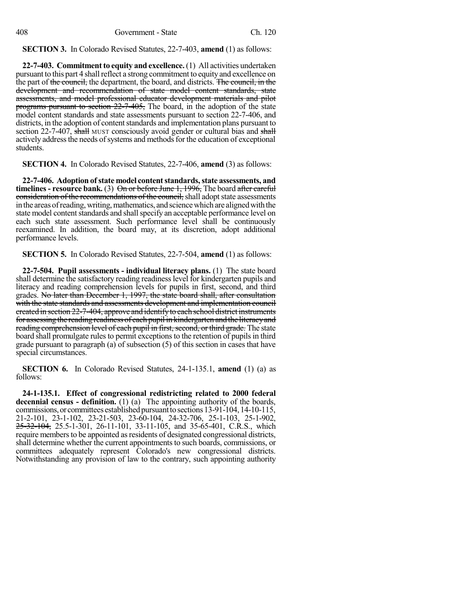**SECTION 3.** In Colorado Revised Statutes, 22-7-403, **amend** (1) as follows:

**22-7-403. Commitment to equity and excellence.** (1) All activities undertaken pursuant to this part 4 shall reflect a strong commitment to equity and excellence on the part of the council, the department, the board, and districts. The council, in the development and recommendation of state model content standards, state assessments, and model professional educator development materials and pilot programs pursuant to section 22-7-405, The board, in the adoption of the state model content standards and state assessments pursuant to section 22-7-406, and districts, in the adoption of content standards and implementation plans pursuant to section 22-7-407, shall MUST consciously avoid gender or cultural bias and shall actively address the needs of systems and methods for the education of exceptional students.

**SECTION 4.** In Colorado Revised Statutes, 22-7-406, **amend** (3) as follows:

**22-7-406. Adoption of state model contentstandards,state assessments, and timelines** - **resource bank.** (3) On or before June 1, 1996, The board after careful consideration of the recommendations of the council, shall adopt state assessments in the areas of reading, writing, mathematics, and science which are aligned with the state model content standards and shall specify an acceptable performance level on each such state assessment. Such performance level shall be continuously reexamined. In addition, the board may, at its discretion, adopt additional performance levels.

**SECTION 5.** In Colorado Revised Statutes, 22-7-504, **amend** (1) as follows:

**22-7-504. Pupil assessments - individual literacy plans.** (1) The state board shall determine the satisfactory reading readiness level for kindergarten pupils and literacy and reading comprehension levels for pupils in first, second, and third grades. No later than December 1, 1997, the state board shall, after consultation with the state standards and assessments development and implementation council ereated in section  $22$ -7-404, approve and identify to each school district instruments for assessing the reading readiness of each pupil in kindergarten and the literacyand reading comprehension level of each pupil in first, second, or third grade. The state board shall promulgate rules to permit exceptions to the retention of pupils in third grade pursuant to paragraph (a) of subsection (5) of this section in cases that have special circumstances.

**SECTION 6.** In Colorado Revised Statutes, 24-1-135.1, **amend** (1) (a) as follows:

**24-1-135.1. Effect of congressional redistricting related to 2000 federal decennial census - definition.** (1) (a) The appointing authority of the boards, commissions, or committees established pursuant to sections 13-91-104, 14-10-115, 21-2-101, 23-1-102, 23-21-503, 23-60-104, 24-32-706, 25-1-103, 25-1-902, 25-32-104, 25.5-1-301, 26-11-101, 33-11-105, and 35-65-401, C.R.S., which require members to be appointed as residents of designated congressional districts, shall determine whether the current appointments to such boards, commissions, or committees adequately represent Colorado's new congressional districts. Notwithstanding any provision of law to the contrary, such appointing authority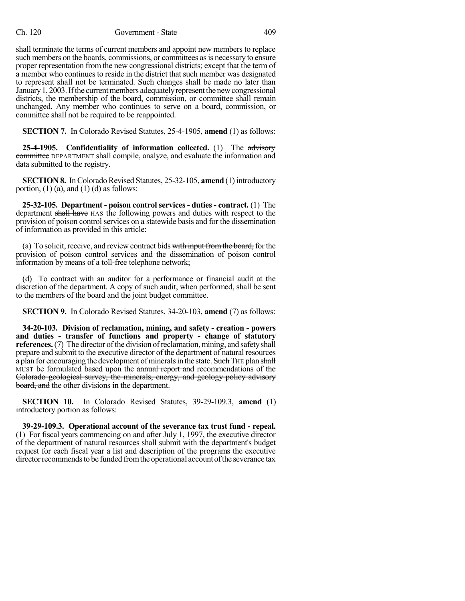shall terminate the terms of current members and appoint new members to replace such members on the boards, commissions, or committees as is necessary to ensure proper representation from the new congressional districts; except that the term of a member who continues to reside in the district that such member was designated to represent shall not be terminated. Such changes shall be made no later than January 1, 2003. If the current members adequately represent the new congressional districts, the membership of the board, commission, or committee shall remain unchanged. Any member who continues to serve on a board, commission, or committee shall not be required to be reappointed.

**SECTION 7.** In Colorado Revised Statutes, 25-4-1905, **amend** (1) as follows:

**25-4-1905. Confidentiality of information collected.** (1) The advisory committee DEPARTMENT shall compile, analyze, and evaluate the information and data submitted to the registry.

**SECTION 8.** In Colorado Revised Statutes, 25-32-105, **amend** (1) introductory portion,  $(1)$  (a), and  $(1)$  (d) as follows:

**25-32-105. Department - poison control services - duties - contract.** (1) The department shall have HAS the following powers and duties with respect to the provision of poison control services on a statewide basis and for the dissemination of information as provided in this article:

(a) To solicit, receive, and review contract bids with input from the board, for the provision of poison control services and the dissemination of poison control information by means of a toll-free telephone network;

(d) To contract with an auditor for a performance or financial audit at the discretion of the department. A copy of such audit, when performed, shall be sent to the members of the board and the joint budget committee.

**SECTION 9.** In Colorado Revised Statutes, 34-20-103, **amend** (7) as follows:

**34-20-103. Division of reclamation, mining, and safety - creation - powers and duties - transfer of functions and property - change of statutory references.** (7) The director of the division of reclamation, mining, and safety shall prepare and submit to the executive director of the department of natural resources a plan for encouraging the development of minerals in the state. Such THE plan shall MUST be formulated based upon the annual report and recommendations of the Colorado geological survey, the minerals, energy, and geology policy advisory board, and the other divisions in the department.

**SECTION 10.** In Colorado Revised Statutes, 39-29-109.3, **amend** (1) introductory portion as follows:

**39-29-109.3. Operational account of the severance tax trust fund - repeal.** (1) For fiscal years commencing on and after July 1, 1997, the executive director of the department of natural resources shall submit with the department's budget request for each fiscal year a list and description of the programs the executive director recommends to be funded from the operational account of the severance tax